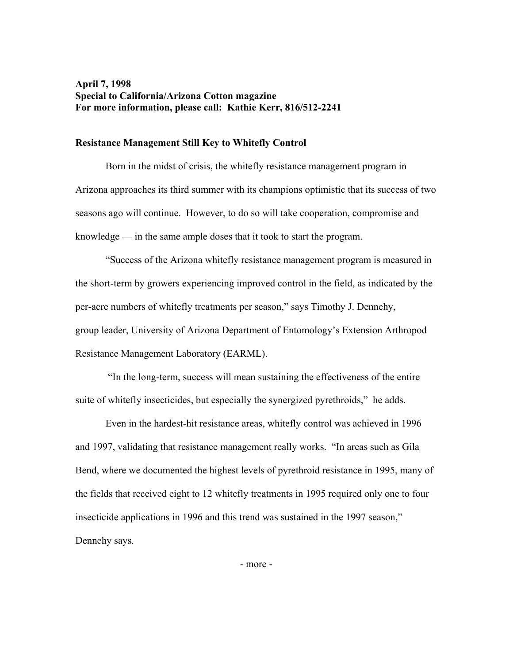# **April 7, 1998 Special to California/Arizona Cotton magazine For more information, please call: Kathie Kerr, 816/512-2241**

### **Resistance Management Still Key to Whitefly Control**

 Born in the midst of crisis, the whitefly resistance management program in Arizona approaches its third summer with its champions optimistic that its success of two seasons ago will continue. However, to do so will take cooperation, compromise and knowledge — in the same ample doses that it took to start the program.

 "Success of the Arizona whitefly resistance management program is measured in the short-term by growers experiencing improved control in the field, as indicated by the per-acre numbers of whitefly treatments per season," says Timothy J. Dennehy, group leader, University of Arizona Department of Entomology's Extension Arthropod Resistance Management Laboratory (EARML).

 "In the long-term, success will mean sustaining the effectiveness of the entire suite of whitefly insecticides, but especially the synergized pyrethroids," he adds.

 Even in the hardest-hit resistance areas, whitefly control was achieved in 1996 and 1997, validating that resistance management really works. "In areas such as Gila Bend, where we documented the highest levels of pyrethroid resistance in 1995, many of the fields that received eight to 12 whitefly treatments in 1995 required only one to four insecticide applications in 1996 and this trend was sustained in the 1997 season," Dennehy says.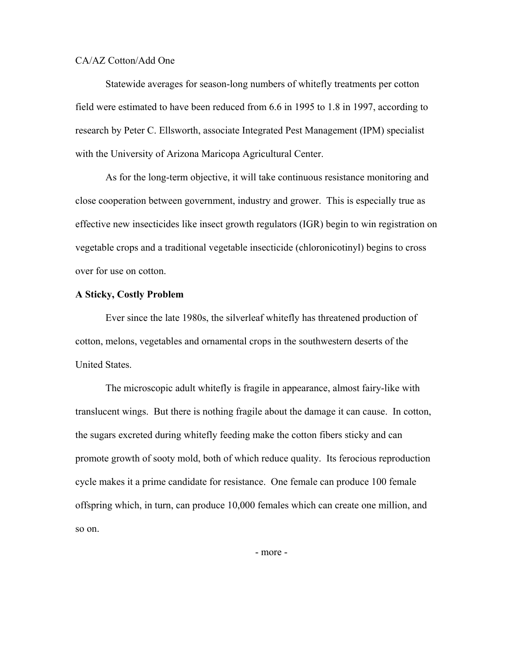#### CA/AZ Cotton/Add One

Statewide averages for season-long numbers of whitefly treatments per cotton field were estimated to have been reduced from 6.6 in 1995 to 1.8 in 1997, according to research by Peter C. Ellsworth, associate Integrated Pest Management (IPM) specialist with the University of Arizona Maricopa Agricultural Center.

 As for the long-term objective, it will take continuous resistance monitoring and close cooperation between government, industry and grower. This is especially true as effective new insecticides like insect growth regulators (IGR) begin to win registration on vegetable crops and a traditional vegetable insecticide (chloronicotinyl) begins to cross over for use on cotton.

### **A Sticky, Costly Problem**

Ever since the late 1980s, the silverleaf whitefly has threatened production of cotton, melons, vegetables and ornamental crops in the southwestern deserts of the United States.

The microscopic adult whitefly is fragile in appearance, almost fairy-like with translucent wings. But there is nothing fragile about the damage it can cause. In cotton, the sugars excreted during whitefly feeding make the cotton fibers sticky and can promote growth of sooty mold, both of which reduce quality. Its ferocious reproduction cycle makes it a prime candidate for resistance. One female can produce 100 female offspring which, in turn, can produce 10,000 females which can create one million, and so on.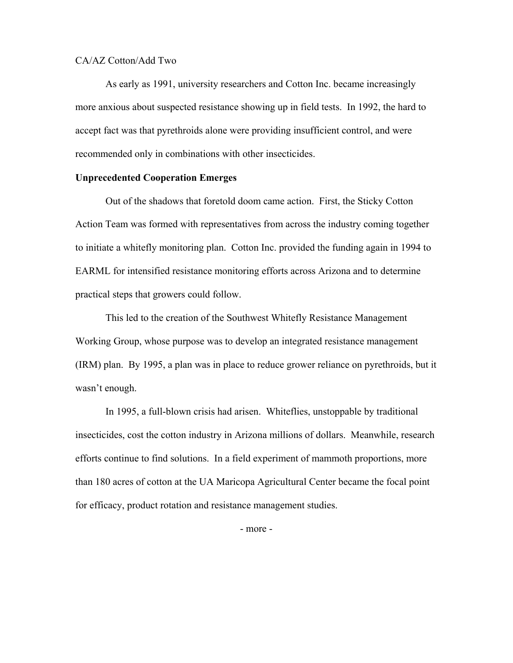#### CA/AZ Cotton/Add Two

As early as 1991, university researchers and Cotton Inc. became increasingly more anxious about suspected resistance showing up in field tests. In 1992, the hard to accept fact was that pyrethroids alone were providing insufficient control, and were recommended only in combinations with other insecticides.

#### **Unprecedented Cooperation Emerges**

 Out of the shadows that foretold doom came action. First, the Sticky Cotton Action Team was formed with representatives from across the industry coming together to initiate a whitefly monitoring plan. Cotton Inc. provided the funding again in 1994 to EARML for intensified resistance monitoring efforts across Arizona and to determine practical steps that growers could follow.

This led to the creation of the Southwest Whitefly Resistance Management Working Group, whose purpose was to develop an integrated resistance management (IRM) plan. By 1995, a plan was in place to reduce grower reliance on pyrethroids, but it wasn't enough.

 In 1995, a full-blown crisis had arisen. Whiteflies, unstoppable by traditional insecticides, cost the cotton industry in Arizona millions of dollars. Meanwhile, research efforts continue to find solutions. In a field experiment of mammoth proportions, more than 180 acres of cotton at the UA Maricopa Agricultural Center became the focal point for efficacy, product rotation and resistance management studies.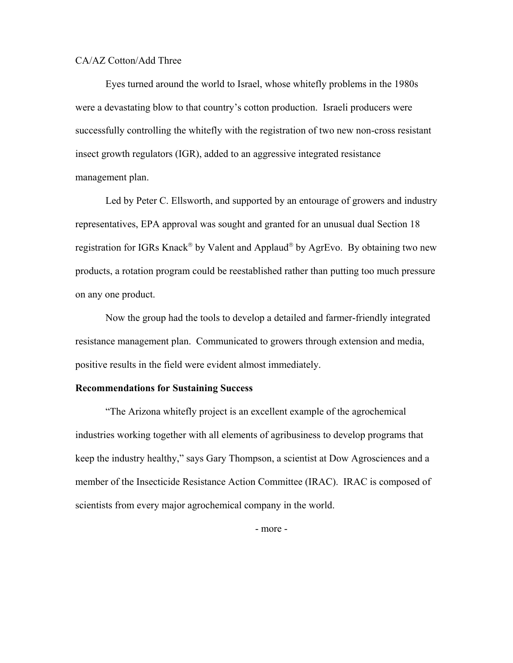### CA/AZ Cotton/Add Three

Eyes turned around the world to Israel, whose whitefly problems in the 1980s were a devastating blow to that country's cotton production. Israeli producers were successfully controlling the whitefly with the registration of two new non-cross resistant insect growth regulators (IGR), added to an aggressive integrated resistance management plan.

Led by Peter C. Ellsworth, and supported by an entourage of growers and industry representatives, EPA approval was sought and granted for an unusual dual Section 18 registration for IGRs Knack<sup>®</sup> by Valent and Applaud<sup>®</sup> by AgrEvo. By obtaining two new products, a rotation program could be reestablished rather than putting too much pressure on any one product.

Now the group had the tools to develop a detailed and farmer-friendly integrated resistance management plan. Communicated to growers through extension and media, positive results in the field were evident almost immediately.

### **Recommendations for Sustaining Success**

"The Arizona whitefly project is an excellent example of the agrochemical industries working together with all elements of agribusiness to develop programs that keep the industry healthy," says Gary Thompson, a scientist at Dow Agrosciences and a member of the Insecticide Resistance Action Committee (IRAC). IRAC is composed of scientists from every major agrochemical company in the world.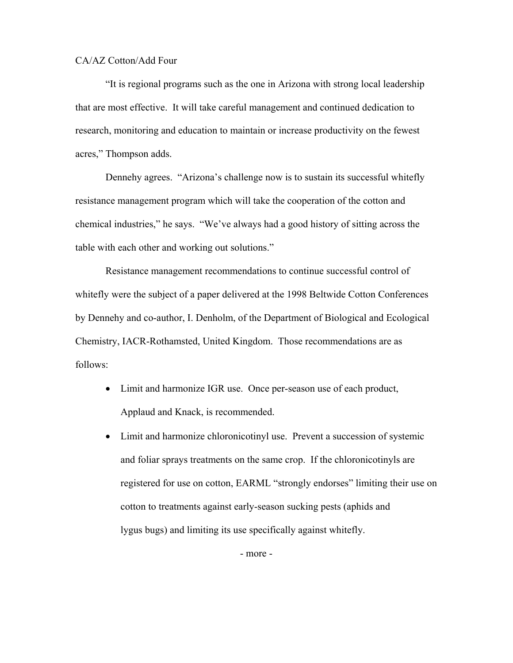#### CA/AZ Cotton/Add Four

"It is regional programs such as the one in Arizona with strong local leadership that are most effective. It will take careful management and continued dedication to research, monitoring and education to maintain or increase productivity on the fewest acres," Thompson adds.

Dennehy agrees."Arizona's challenge now is to sustain its successful whitefly resistance management program which will take the cooperation of the cotton and chemical industries," he says. "We've always had a good history of sitting across the table with each other and working out solutions."

Resistance management recommendations to continue successful control of whitefly were the subject of a paper delivered at the 1998 Beltwide Cotton Conferences by Dennehy and co-author, I. Denholm, of the Department of Biological and Ecological Chemistry, IACR-Rothamsted, United Kingdom. Those recommendations are as follows:

- Limit and harmonize IGR use. Once per-season use of each product, Applaud and Knack, is recommended.
- Limit and harmonize chloronicotinyl use. Prevent a succession of systemic and foliar sprays treatments on the same crop. If the chloronicotinyls are registered for use on cotton, EARML "strongly endorses" limiting their use on cotton to treatments against early-season sucking pests (aphids and lygus bugs) and limiting its use specifically against whitefly.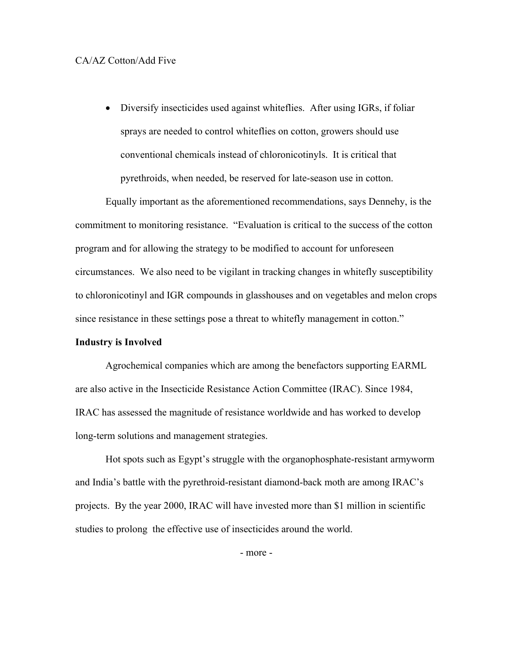## CA/AZ Cotton/Add Five

• Diversify insecticides used against whiteflies. After using IGRs, if foliar sprays are needed to control whiteflies on cotton, growers should use conventional chemicals instead of chloronicotinyls. It is critical that pyrethroids, when needed, be reserved for late-season use in cotton.

 Equally important as the aforementioned recommendations, says Dennehy, is the commitment to monitoring resistance. "Evaluation is critical to the success of the cotton program and for allowing the strategy to be modified to account for unforeseen circumstances. We also need to be vigilant in tracking changes in whitefly susceptibility to chloronicotinyl and IGR compounds in glasshouses and on vegetables and melon crops since resistance in these settings pose a threat to whitefly management in cotton."

#### **Industry is Involved**

Agrochemical companies which are among the benefactors supporting EARML are also active in the Insecticide Resistance Action Committee (IRAC). Since 1984, IRAC has assessed the magnitude of resistance worldwide and has worked to develop long-term solutions and management strategies.

Hot spots such as Egypt's struggle with the organophosphate-resistant armyworm and India's battle with the pyrethroid-resistant diamond-back moth are among IRAC's projects. By the year 2000, IRAC will have invested more than \$1 million in scientific studies to prolong the effective use of insecticides around the world.